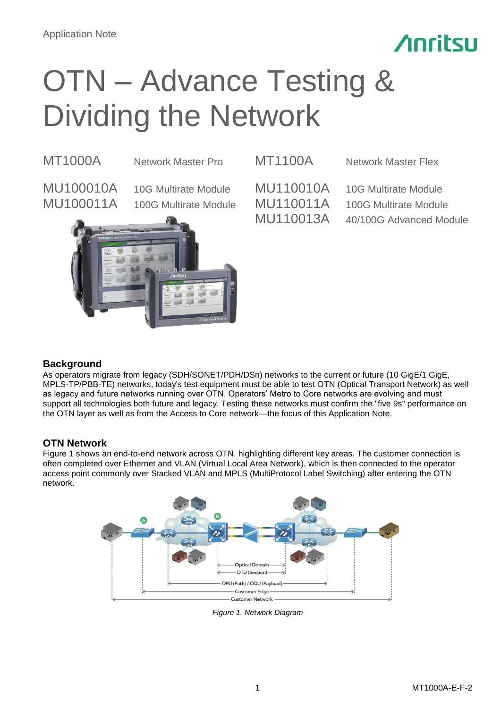

# OTN – Advance Testing & Dividing the Network

MT1000A Network Master Pro MT1100A Network Master Flex

MU100010A 10G Multirate Module MU110010A 10G Multirate Module



MU100011A 100G Multirate Module MU110011A 100G Multirate Module MU110013A 40/100G Advanced Module

# **Background**

As operators migrate from legacy (SDH/SONET/PDH/DSn) networks to the current or future (10 GigE/1 GigE, MPLS-TP/PBB-TE) networks, today's test equipment must be able to test OTN (Optical Transport Network) as well as legacy and future networks running over OTN. Operators' Metro to Core networks are evolving and must support all technologies both future and legacy. Testing these networks must confirm the "five 9s" performance on the OTN layer as well as from the Access to Core network—the focus of this Application Note.

# **OTN Network**

Figure 1 shows an end-to-end network across OTN, highlighting different key areas. The customer connection is often completed over Ethernet and VLAN (Virtual Local Area Network), which is then connected to the operator access point commonly over Stacked VLAN and MPLS (MultiProtocol Label Switching) after entering the OTN network.



*Figure 1. Network Diagram*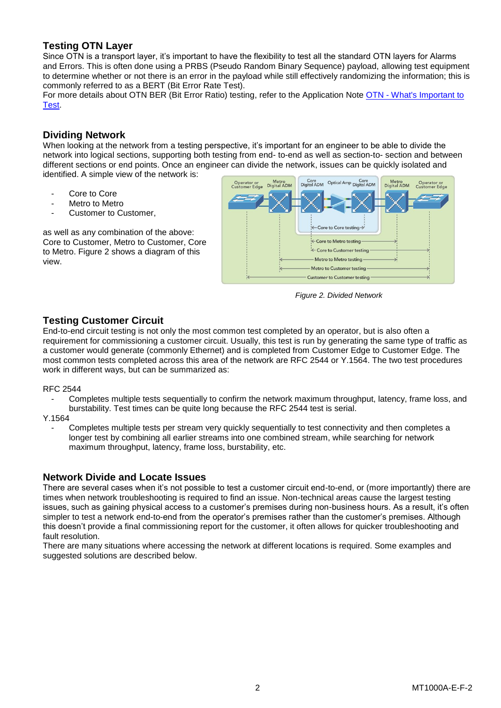# **Testing OTN Layer**

Since OTN is a transport layer, it's important to have the flexibility to test all the standard OTN layers for Alarms and Errors. This is often done using a PRBS (Pseudo Random Binary Sequence) payload, allowing test equipment to determine whether or not there is an error in the payload while still effectively randomizing the information; this is commonly referred to as a BERT (Bit Error Rate Test).

For more details about OTN BER (Bit Error Ratio) testing, refer to the Application Note OTN - What's Important to [Test.](https://www.anritsu.com/en-AU/test-measurement/support/downloads/application-notes/dwl010599)

# **Dividing Network**

When looking at the network from a testing perspective, it's important for an engineer to be able to divide the network into logical sections, supporting both testing from end- to-end as well as section-to- section and between different sections or end points. Once an engineer can divide the network, issues can be quickly isolated and identified. A simple view of the network is:

- Core to Core
- Metro to Metro
- Customer to Customer.

as well as any combination of the above: Core to Customer, Metro to Customer, Core to Metro. Figure 2 shows a diagram of this view.



*Figure 2. Divided Network*

# **Testing Customer Circuit**

End-to-end circuit testing is not only the most common test completed by an operator, but is also often a requirement for commissioning a customer circuit. Usually, this test is run by generating the same type of traffic as a customer would generate (commonly Ethernet) and is completed from Customer Edge to Customer Edge. The most common tests completed across this area of the network are RFC 2544 or Y.1564. The two test procedures work in different ways, but can be summarized as:

### RFC 2544

- Completes multiple tests sequentially to confirm the network maximum throughput, latency, frame loss, and burstability. Test times can be quite long because the RFC 2544 test is serial.
- Y.1564
	- Completes multiple tests per stream very quickly sequentially to test connectivity and then completes a longer test by combining all earlier streams into one combined stream, while searching for network maximum throughput, latency, frame loss, burstability, etc.

## **Network Divide and Locate Issues**

There are several cases when it's not possible to test a customer circuit end-to-end, or (more importantly) there are times when network troubleshooting is required to find an issue. Non-technical areas cause the largest testing issues, such as gaining physical access to a customer's premises during non-business hours. As a result, it's often simpler to test a network end-to-end from the operator's premises rather than the customer's premises. Although this doesn't provide a final commissioning report for the customer, it often allows for quicker troubleshooting and fault resolution.

There are many situations where accessing the network at different locations is required. Some examples and suggested solutions are described below.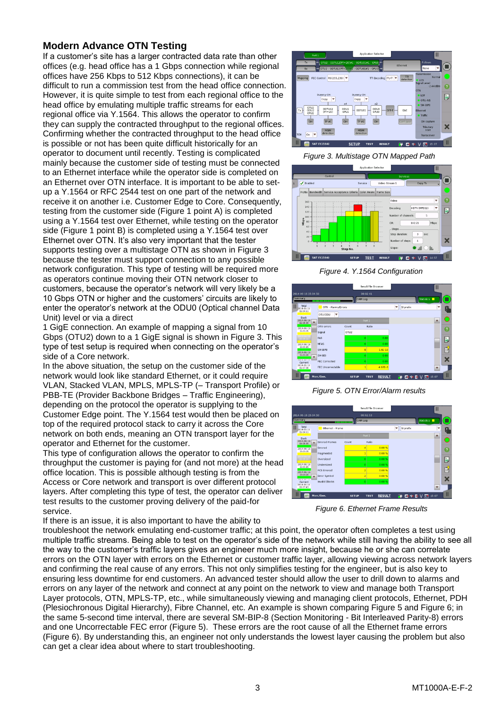# **Modern Advance OTN Testing**

If a customer's site has a larger contracted data rate than other offices (e.g. head office has a 1 Gbps connection while regional offices have 256 Kbps to 512 Kbps connections), it can be difficult to run a commission test from the head office connection. However, it is quite simple to test from each regional office to the head office by emulating multiple traffic streams for each regional office via Y.1564. This allows the operator to confirm they can supply the contracted throughput to the regional offices. Confirming whether the contracted throughput to the head office is possible or not has been quite difficult historically for an operator to document until recently. Testing is complicated mainly because the customer side of testing must be connected to an Ethernet interface while the operator side is completed on an Ethernet over OTN interface. It is important to be able to setup a Y.1564 or RFC 2544 test on one part of the network and receive it on another i.e. Customer Edge to Core. Consequently, testing from the customer side (Figure 1 point A) is completed using a Y.1564 test over Ethernet, while testing on the operator side (Figure 1 point B) is completed using a Y.1564 test over Ethernet over OTN. It's also very important that the tester supports testing over a multistage OTN as shown in Figure 3 because the tester must support connection to any possible network configuration. This type of testing will be required more as operators continue moving their OTN network closer to customers, because the operator's network will very likely be a 10 Gbps OTN or higher and the customers' circuits are likely to enter the operator's network at the ODU0 (Optical channel Data Unit) level or via a direct

1 GigE connection. An example of mapping a signal from 10 Gbps (OTU2) down to a 1 GigE signal is shown in Figure 3. This type of test setup is required when connecting on the operator's side of a Core network.

In the above situation, the setup on the customer side of the network would look like standard Ethernet, or it could require VLAN, Stacked VLAN, MPLS, MPLS-TP (– Transport Profile) or PBB-TE (Provider Backbone Bridges – Traffic Engineering), depending on the protocol the operator is supplying to the Customer Edge point. The Y.1564 test would then be placed on top of the required protocol stack to carry it across the Core network on both ends, meaning an OTN transport layer for the operator and Ethernet for the customer.

This type of configuration allows the operator to confirm the throughput the customer is paying for (and not more) at the head office location. This is possible although testing is from the Access or Core network and transport is over different protocol layers. After completing this type of test, the operator can deliver test results to the customer proving delivery of the paid-for service.

If there is an issue, it is also important to have the ability to



### *Figure 3. Multistage OTN Mapped Path*



*Figure 4. Y.1564 Configuration*



*Figure 5. OTN Error/Alarm results*



*Figure 6. Ethernet Frame Results*

troubleshoot the network emulating end-customer traffic; at this point, the operator often completes a test using multiple traffic streams. Being able to test on the operator's side of the network while still having the ability to see all the way to the customer's traffic layers gives an engineer much more insight, because he or she can correlate errors on the OTN layer with errors on the Ethernet or customer traffic layer, allowing viewing across network layers and confirming the real cause of any errors. This not only simplifies testing for the engineer, but is also key to ensuring less downtime for end customers. An advanced tester should allow the user to drill down to alarms and errors on any layer of the network and connect at any point on the network to view and manage both Transport Layer protocols, OTN, MPLS-TP, etc., while simultaneously viewing and managing client protocols, Ethernet, PDH (Plesiochronous Digital Hierarchy), Fibre Channel, etc. An example is shown comparing Figure 5 and Figure 6; in the same 5-second time interval, there are several SM-BIP-8 (Section Monitoring - Bit Interleaved Parity-8) errors and one Uncorrectable FEC error (Figure 5). These errors are the root cause of all the Ethernet frame errors (Figure 6). By understanding this, an engineer not only understands the lowest layer causing the problem but also can get a clear idea about where to start troubleshooting.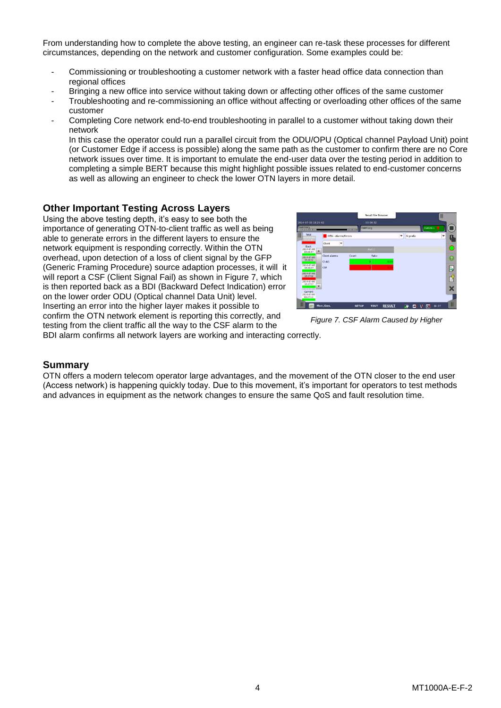From understanding how to complete the above testing, an engineer can re-task these processes for different circumstances, depending on the network and customer configuration. Some examples could be:

- Commissioning or troubleshooting a customer network with a faster head office data connection than regional offices
- Bringing a new office into service without taking down or affecting other offices of the same customer
- Troubleshooting and re-commissioning an office without affecting or overloading other offices of the same customer
- Completing Core network end-to-end troubleshooting in parallel to a customer without taking down their network

In this case the operator could run a parallel circuit from the ODU/OPU (Optical channel Payload Unit) point (or Customer Edge if access is possible) along the same path as the customer to confirm there are no Core network issues over time. It is important to emulate the end-user data over the testing period in addition to completing a simple BERT because this might highlight possible issues related to end-customer concerns as well as allowing an engineer to check the lower OTN layers in more detail.

# **Other Important Testing Across Layers**

Using the above testing depth, it's easy to see both the importance of generating OTN-to-client traffic as well as being able to generate errors in the different layers to ensure the network equipment is responding correctly. Within the OTN overhead, upon detection of a loss of client signal by the GFP (Generic Framing Procedure) source adaption processes, it will it will report a CSF (Client Signal Fail) as shown in Figure 7, which is then reported back as a BDI (Backward Defect Indication) error on the lower order ODU (Optical channel Data Unit) level. Inserting an error into the higher layer makes it possible to confirm the OTN network element is reporting this correctly, and testing from the client traffic all the way to the CSF alarm to the



*Figure 7. CSF Alarm Caused by Higher* 

BDI alarm confirms all network layers are working and interacting correctly.

## **Summary**

OTN offers a modern telecom operator large advantages, and the movement of the OTN closer to the end user (Access network) is happening quickly today. Due to this movement, it's important for operators to test methods and advances in equipment as the network changes to ensure the same QoS and fault resolution time.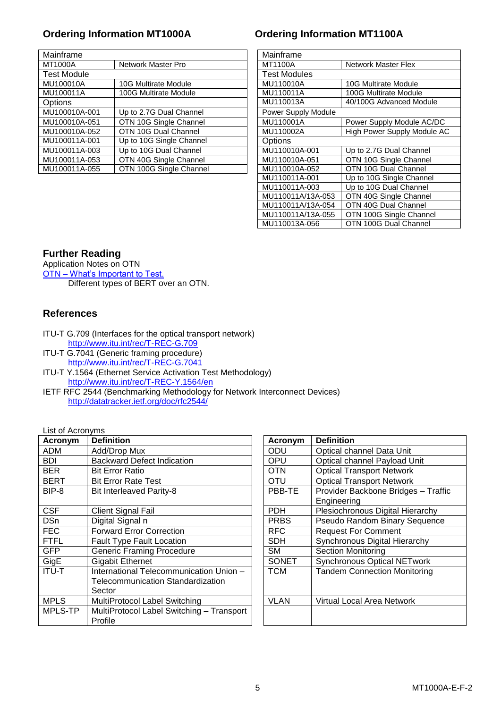| Mainframe          |                             | Mainframe           |                             |  |  |
|--------------------|-----------------------------|---------------------|-----------------------------|--|--|
| MT1000A            | Network Master Pro          | MT1100A             | <b>Network Master Flex</b>  |  |  |
| <b>Test Module</b> |                             | <b>Test Modules</b> |                             |  |  |
| MU100010A          | <b>10G Multirate Module</b> | MU110010A           | 10G Multirate Module        |  |  |
| MU100011A          | 100G Multirate Module       | MU110011A           | 100G Multirate Module       |  |  |
| Options            |                             | MU110013A           | 40/100G Advanced Module     |  |  |
| MU100010A-001      | Up to 2.7G Dual Channel     |                     | Power Supply Module         |  |  |
| MU100010A-051      | OTN 10G Single Channel      | MU110001A           | Power Supply Module AC/DC   |  |  |
| MU100010A-052      | OTN 10G Dual Channel        | MU110002A           | High Power Supply Module AC |  |  |
| MU100011A-001      | Up to 10G Single Channel    | <b>Options</b>      |                             |  |  |
| MU100011A-003      | Up to 10G Dual Channel      | MU110010A-001       | Up to 2.7G Dual Channel     |  |  |
| MU100011A-053      | OTN 40G Single Channel      | MU110010A-051       | OTN 10G Single Channel      |  |  |
| MU100011A-055      | OTN 100G Single Channel     | MU110010A-052       | OTN 10G Dual Channel        |  |  |
|                    |                             |                     |                             |  |  |

# **Ordering Information MT1000A Ordering Information MT1100A**

| Mainframe           |                             |  |  |  |
|---------------------|-----------------------------|--|--|--|
| MT1100A             | <b>Network Master Flex</b>  |  |  |  |
| Test Modules        |                             |  |  |  |
| MU110010A           | 10G Multirate Module        |  |  |  |
| MU110011A           | 100G Multirate Module       |  |  |  |
| MU110013A           | 40/100G Advanced Module     |  |  |  |
| Power Supply Module |                             |  |  |  |
| MU110001A           | Power Supply Module AC/DC   |  |  |  |
| MU110002A           | High Power Supply Module AC |  |  |  |
| Options             |                             |  |  |  |
| MU110010A-001       | Up to 2.7G Dual Channel     |  |  |  |
| MU110010A-051       | OTN 10G Single Channel      |  |  |  |
| MU110010A-052       | OTN 10G Dual Channel        |  |  |  |
| MU110011A-001       | Up to 10G Single Channel    |  |  |  |
| MU110011A-003       | Up to 10G Dual Channel      |  |  |  |
| MU110011A/13A-053   | OTN 40G Single Channel      |  |  |  |
| MU110011A/13A-054   | OTN 40G Dual Channel        |  |  |  |
| MU110011A/13A-055   | OTN 100G Single Channel     |  |  |  |
| MU110013A-056       | OTN 100G Dual Channel       |  |  |  |

# **Further Reading**

Application Notes on OTN OTN – [What's Important to Test.](https://www.anritsu.com/en-AU/Downloads/Application-Notes/Application-Note/DWL10599.aspx) Different types of BERT over an OTN.

# **References**

- ITU-T G.709 (Interfaces for the optical transport network) <http://www.itu.int/rec/T-REC-G.709>
- ITU-T G.7041 (Generic framing procedure) <http://www.itu.int/rec/T-REC-G.7041>
- ITU-T Y.1564 (Ethernet Service Activation Test Methodology) <http://www.itu.int/rec/T-REC-Y.1564/en>
- IETF RFC 2544 (Benchmarking Methodology for Network Interconnect Devices) <http://datatracker.ietf.org/doc/rfc2544/>

List of Acronyms

| Acronym      | <b>Definition</b>                         | Acronym      | <b>Definition</b>                   |
|--------------|-------------------------------------------|--------------|-------------------------------------|
| ADM          | Add/Drop Mux                              | <b>ODU</b>   | Optical channel Data Unit           |
| BDI          | <b>Backward Defect Indication</b>         |              | Optical channel Payload Unit        |
| <b>BER</b>   | <b>Bit Error Ratio</b>                    |              | <b>Optical Transport Network</b>    |
| <b>BERT</b>  | <b>Bit Error Rate Test</b>                | OTU          | <b>Optical Transport Network</b>    |
| BIP-8        | <b>Bit Interleaved Parity-8</b>           | PBB-TE       | Provider Backbone Bridges - Traffic |
|              |                                           |              | Engineering                         |
| <b>CSF</b>   | <b>Client Signal Fail</b>                 | <b>PDH</b>   | Plesiochronous Digital Hierarchy    |
| <b>DSn</b>   | Digital Signal n                          | <b>PRBS</b>  | Pseudo Random Binary Sequence       |
| <b>FEC</b>   | <b>Forward Error Correction</b>           | <b>RFC</b>   | <b>Request For Comment</b>          |
| <b>FTFL</b>  | <b>Fault Type Fault Location</b>          | <b>SDH</b>   | Synchronous Digital Hierarchy       |
| <b>GFP</b>   | <b>Generic Framing Procedure</b>          | <b>SM</b>    | <b>Section Monitoring</b>           |
| GigE         | <b>Gigabit Ethernet</b>                   | <b>SONET</b> | <b>Synchronous Optical NETwork</b>  |
| <b>ITU-T</b> | International Telecommunication Union -   | <b>TCM</b>   | <b>Tandem Connection Monitoring</b> |
|              | Telecommunication Standardization         |              |                                     |
|              | Sector                                    |              |                                     |
| <b>MPLS</b>  | MultiProtocol Label Switching             | <b>VLAN</b>  | Virtual Local Area Network          |
| MPLS-TP      | MultiProtocol Label Switching - Transport |              |                                     |
|              | Profile                                   |              |                                     |

| Acronym     | <b>Definition</b>                   |
|-------------|-------------------------------------|
| ODU         | Optical channel Data Unit           |
| OPU         | Optical channel Payload Unit        |
| OTN         | <b>Optical Transport Network</b>    |
| OTU         | <b>Optical Transport Network</b>    |
| PBB-TE      | Provider Backbone Bridges - Traffic |
|             | Engineering                         |
| PDH         | Plesiochronous Digital Hierarchy    |
| <b>PRBS</b> | Pseudo Random Binary Sequence       |
| <b>RFC</b>  | <b>Request For Comment</b>          |
| SDH         | Synchronous Digital Hierarchy       |
| SМ          | Section Monitoring                  |
| SONET       | <b>Synchronous Optical NETwork</b>  |
| <b>TCM</b>  | <b>Tandem Connection Monitoring</b> |
|             |                                     |
| VLAN        | <b>Virtual Local Area Network</b>   |
|             |                                     |
|             |                                     |